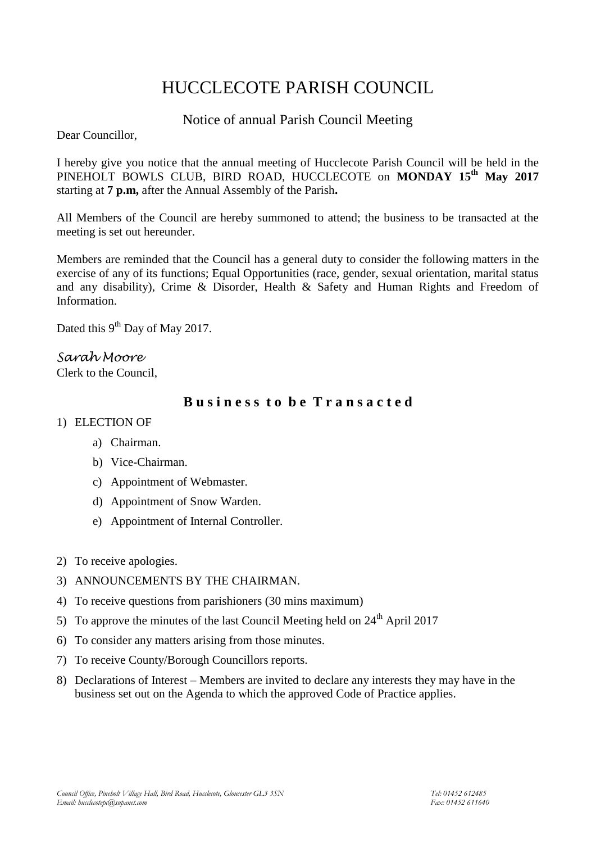# HUCCLECOTE PARISH COUNCIL

# Notice of annual Parish Council Meeting

Dear Councillor,

I hereby give you notice that the annual meeting of Hucclecote Parish Council will be held in the PINEHOLT BOWLS CLUB, BIRD ROAD, HUCCLECOTE on **MONDAY 15<sup>th</sup> May 2017** starting at **7 p.m,** after the Annual Assembly of the Parish**.**

All Members of the Council are hereby summoned to attend; the business to be transacted at the meeting is set out hereunder.

Members are reminded that the Council has a general duty to consider the following matters in the exercise of any of its functions; Equal Opportunities (race, gender, sexual orientation, marital status and any disability), Crime & Disorder, Health & Safety and Human Rights and Freedom of Information.

Dated this 9<sup>th</sup> Day of May 2017.

# *Sarah Moore*

Clerk to the Council,

# **B u s i n e s s t o b e T r a n s a c t e d**

# 1) ELECTION OF

- a) Chairman.
- b) Vice-Chairman.
- c) Appointment of Webmaster.
- d) Appointment of Snow Warden.
- e) Appointment of Internal Controller.
- 2) To receive apologies.
- 3) ANNOUNCEMENTS BY THE CHAIRMAN.
- 4) To receive questions from parishioners (30 mins maximum)
- 5) To approve the minutes of the last Council Meeting held on  $24<sup>th</sup>$  April 2017
- 6) To consider any matters arising from those minutes.
- 7) To receive County/Borough Councillors reports.
- 8) Declarations of Interest Members are invited to declare any interests they may have in the business set out on the Agenda to which the approved Code of Practice applies.